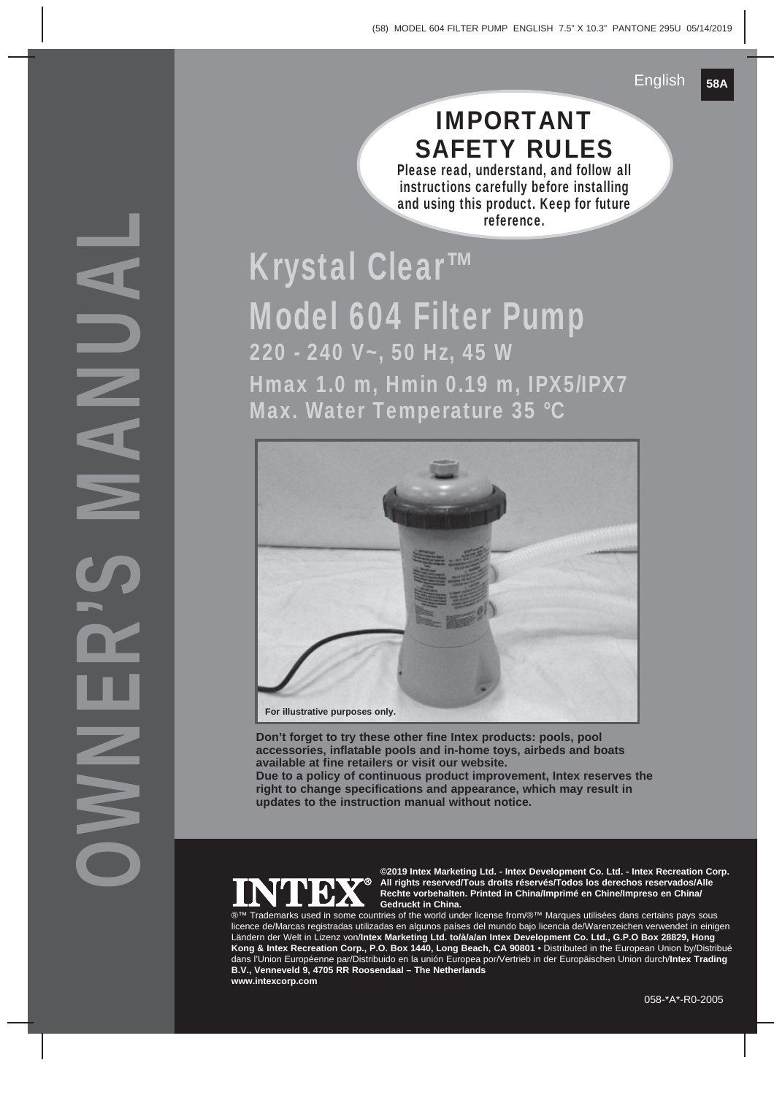### IMPORTANT SAFETY RULES

Please read, understand, and follow all instructions carefully before installing and using this product. Keep for future reference.

# Krystal Clear™ Model 604 Filter Pump 220 - 240 V~, 50 Hz, 45 W Hmax 1.0 m, Hmin 0.19 m, IPX5/IPX7 Max. Water Temperature 35 °C



**Don't forget to try these other fine Intex products: pools, pool accessories, inflatable pools and in-home toys, airbeds and boats available at fine retailers or visit our website. Due to a policy of continuous product improvement, Intex reserves the right to change specifications and appearance, which may result in updates to the instruction manual without notice.**



**©2019 Intex Marketing Ltd. - Intex Development Co. Ltd. - Intex Recreation Corp. All rights reserved/Tous droits réservés/Todos los derechos reservados/Alle Rechte vorbehalten. Printed in China/Imprimé en Chine/Impreso en China/ Gedruckt in China.**

Trademarks used in some countries of the world under license from/®™ Marques utilisées dans certains pays sous licence de/Marcas registradas utilizadas en algunos países del mundo bajo licencia de/Warenzeichen verwendet in einigen Ländern der Welt in Lizenz von/**Intex Marketing Ltd. to/à/a/an Intex Development Co. Ltd., G.P.O Box 28829, Hong Kong & Intex Recreation Corp., P.O. Box 1440, Long Beach, CA 90801** • Distributed in the European Union by/Distribué dans l'Union Européenne par/Distribuido en la unión Europea por/Vertrieb in der Europäischen Union durch/**Intex Trading B.V., Venneveld 9, 4705 RR Roosendaal – The Netherlands www.intexcorp.com**

OWNER'S MANUAL  $\equiv$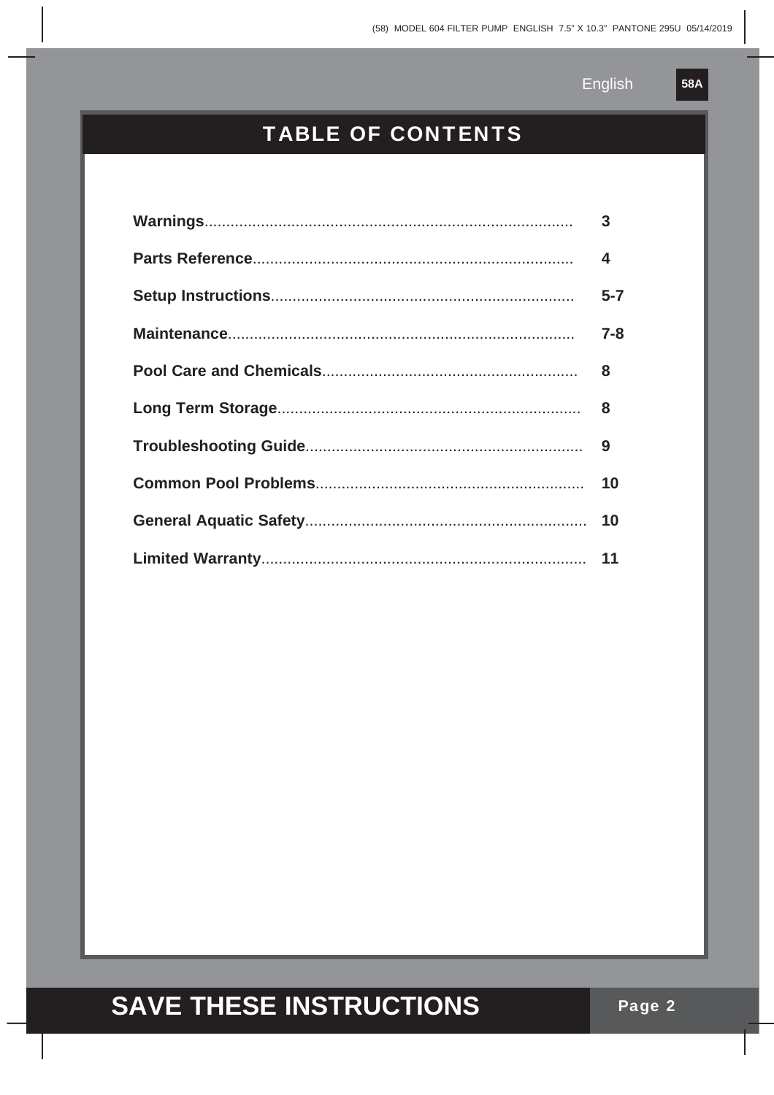$58A$ 

### **TABLE OF CONTENTS**

| $\overline{\mathbf{4}}$ |
|-------------------------|
| $5 - 7$                 |
| $7 - 8$                 |
|                         |
|                         |
|                         |
|                         |
|                         |
|                         |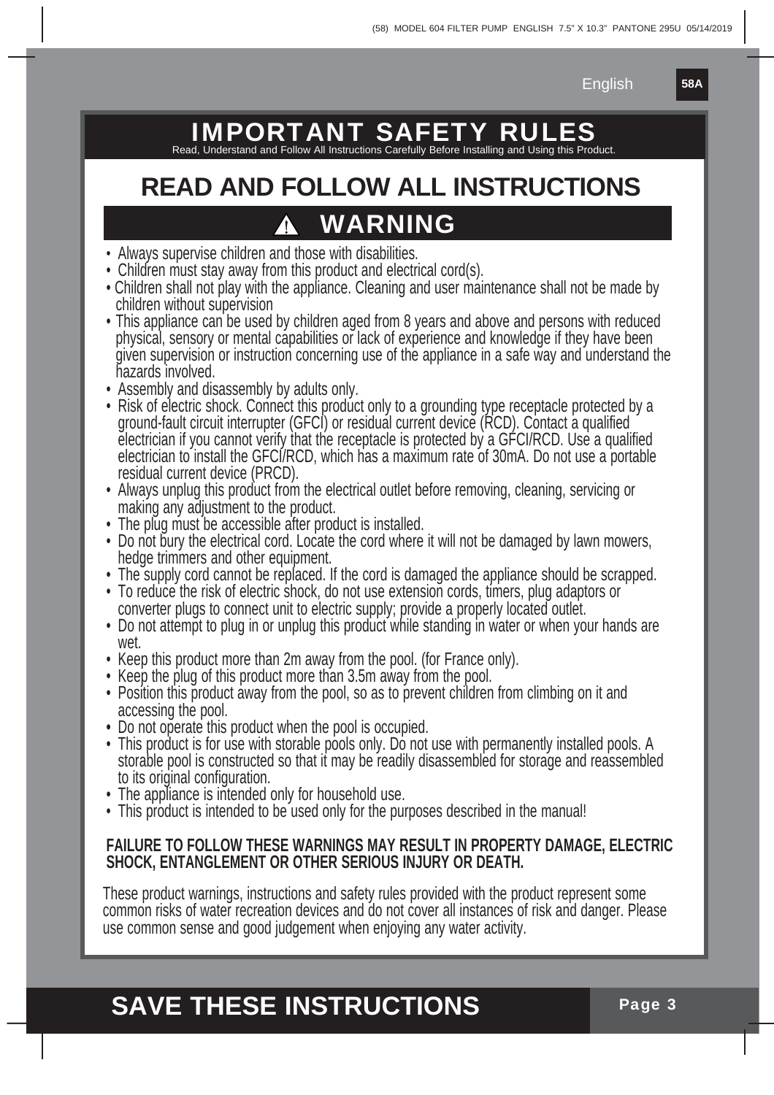**58A**

### IMPORTANT SAFETY RUL

Read, Understand and Follow All Instructions Carefully Before Installing and Using this Product.

# **READ AND FOLLOW ALL INSTRUCTIONS WARNING**

- Always supervise children and those with disabilities.
- Children must stay away from this product and electrical cord(s).
- Children shall not play with the appliance. Cleaning and user maintenance shall not be made by children without supervision
- This appliance can be used by children aged from 8 years and above and persons with reduced physical, sensory or mental capabilities or lack of experience and knowledge if they have been given supervision or instruction concerning use of the appliance in a safe way and understand the hazards involved.
- Assembly and disassembly by adults only.
- Risk of electric shock. Connect this product only to a grounding type receptacle protected by a ground-fault circuit interrupter (GFCI) or residual current device (RCD). Contact a qualified electrician if you cannot verify that the receptacle is protected by a GFCI/RCD. Use a qualified electrician to install the GFCI/RCD, which has a maximum rate of 30mA. Do not use a portable residual current device (PRCD).
- Always unplug this product from the electrical outlet before removing, cleaning, servicing or making any adjustment to the product.
- The plug must be accessible after product is installed.
- Do not bury the electrical cord. Locate the cord where it will not be damaged by lawn mowers, hedge trimmers and other equipment.
- The supply cord cannot be replaced. If the cord is damaged the appliance should be scrapped.
- To reduce the risk of electric shock, do not use extension cords, timers, plug adaptors or converter plugs to connect unit to electric supply; provide a properly located outlet.
- Do not attempt to plug in or unplug this product while standing in water or when your hands are wet.
- Keep this product more than 2m away from the pool. (for France only).
- Keep the plug of this product more than 3.5m away from the pool.
- Position this product away from the pool, so as to prevent children from climbing on it and accessing the pool.
- Do not operate this product when the pool is occupied.
- This product is for use with storable pools only. Do not use with permanently installed pools. A storable pool is constructed so that it may be readily disassembled for storage and reassembled to its original configuration.
- The appliance is intended only for household use.
- This product is intended to be used only for the purposes described in the manual!

#### **FAILURE TO FOLLOW THESE WARNINGS MAY RESULT IN PROPERTY DAMAGE, ELECTRIC SHOCK, ENTANGLEMENT OR OTHER SERIOUS INJURY OR DEATH.**

These product warnings, instructions and safety rules provided with the product represent some common risks of water recreation devices and do not cover all instances of risk and danger. Please use common sense and good judgement when enjoying any water activity.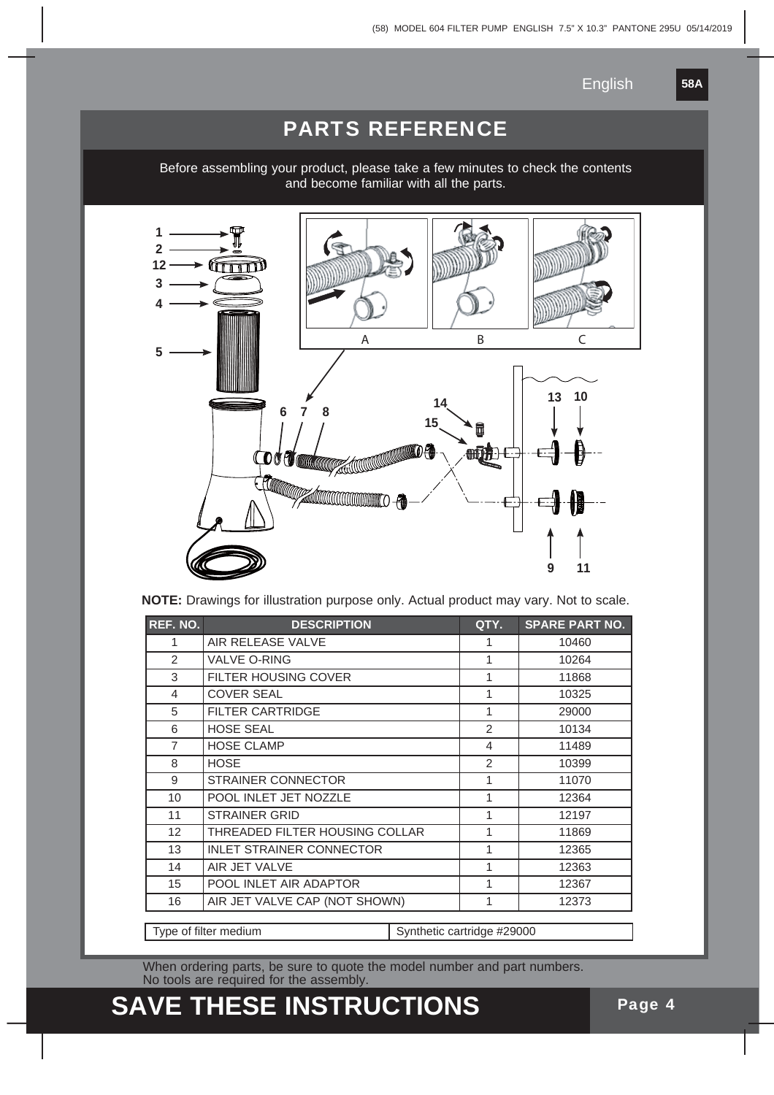**58A**

#### PARTS REFERENCE

Before assembling your product, please take a few minutes to check the contents and become familiar with all the parts.



**NOTE:** Drawings for illustration purpose only. Actual product may vary. Not to scale.

| <b>REF. NO.</b>       | <b>DESCRIPTION</b>              |                            | QTY.                     | <b>SPARE PART NO.</b> |
|-----------------------|---------------------------------|----------------------------|--------------------------|-----------------------|
| 1                     | AIR RELEASE VALVE               | 1                          | 10460                    |                       |
| $\mathcal{P}$         | <b>VALVE O-RING</b>             |                            | 1                        | 10264                 |
| 3                     | <b>FILTER HOUSING COVER</b>     |                            | 1                        | 11868                 |
| 4                     | <b>COVER SEAL</b>               |                            | 1                        | 10325                 |
| 5                     | <b>FILTER CARTRIDGE</b>         |                            | 1                        | 29000                 |
| 6                     | <b>HOSE SEAL</b>                |                            | 2                        | 10134                 |
| $\overline{7}$        | <b>HOSE CLAMP</b>               |                            | $\overline{\mathcal{L}}$ | 11489                 |
| 8                     | <b>HOSE</b>                     |                            | 2                        | 10399                 |
| 9                     | <b>STRAINER CONNECTOR</b>       |                            | 1                        | 11070                 |
| 10                    | POOL INLET JET NOZZLE           |                            | 1                        | 12364                 |
| 11                    | <b>STRAINER GRID</b>            |                            | 1                        | 12197                 |
| 12                    | THREADED FILTER HOUSING COLLAR  |                            | 1                        | 11869                 |
| 13                    | <b>INLET STRAINER CONNECTOR</b> |                            | 1                        | 12365                 |
| 14                    | AIR JET VALVE                   |                            | 1                        | 12363                 |
| 15                    | POOL INLET AIR ADAPTOR          |                            | 1                        | 12367                 |
| 16                    | AIR JET VALVE CAP (NOT SHOWN)   |                            | 1                        | 12373                 |
|                       |                                 |                            |                          |                       |
| Type of filter medium |                                 | Synthetic cartridge #29000 |                          |                       |

When ordering parts, be sure to quote the model number and part numbers. No tools are required for the assembly.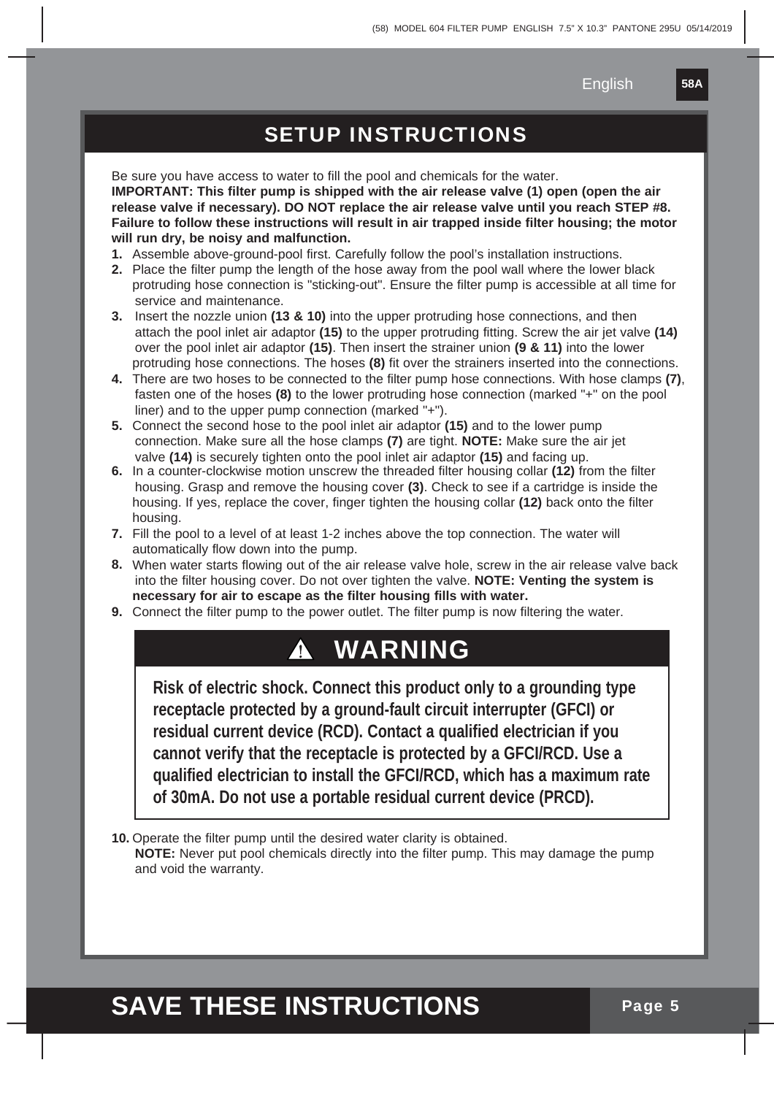**58A**

#### SETUP INSTRUCTIONS

Be sure you have access to water to fill the pool and chemicals for the water. **IMPORTANT: This filter pump is shipped with the air release valve (1) open (open the air release valve if necessary). DO NOT replace the air release valve until you reach STEP #8. Failure to follow these instructions will result in air trapped inside filter housing; the motor will run dry, be noisy and malfunction.**

- **1.** Assemble above-ground-pool first. Carefully follow the pool's installation instructions.
- **2.** Place the filter pump the length of the hose away from the pool wall where the lower black protruding hose connection is "sticking-out". Ensure the filter pump is accessible at all time for service and maintenance.
- **3.** Insert the nozzle union **(13 & 10)** into the upper protruding hose connections, and then attach the pool inlet air adaptor **(15)** to the upper protruding fitting. Screw the air jet valve **(14)** over the pool inlet air adaptor **(15)**. Then insert the strainer union **(9 & 11)** into the lower protruding hose connections. The hoses **(8)** fit over the strainers inserted into the connections.
- **4.** There are two hoses to be connected to the filter pump hose connections. With hose clamps **(7)**, fasten one of the hoses **(8)** to the lower protruding hose connection (marked "+" on the pool liner) and to the upper pump connection (marked "+").
- **5.** Connect the second hose to the pool inlet air adaptor **(15)** and to the lower pump connection. Make sure all the hose clamps **(7)** are tight. **NOTE:** Make sure the air jet valve **(14)** is securely tighten onto the pool inlet air adaptor **(15)** and facing up.
- **6.** In a counter-clockwise motion unscrew the threaded filter housing collar **(12)** from the filter housing. Grasp and remove the housing cover **(3)**. Check to see if a cartridge is inside the housing. If yes, replace the cover, finger tighten the housing collar **(12)** back onto the filter housing.
- **7.** Fill the pool to a level of at least 1-2 inches above the top connection. The water will automatically flow down into the pump.
- **8.** When water starts flowing out of the air release valve hole, screw in the air release valve back into the filter housing cover. Do not over tighten the valve. **NOTE: Venting the system is necessary for air to escape as the filter housing fills with water.**
- **9.** Connect the filter pump to the power outlet. The filter pump is now filtering the water.

### **WARNING**

**Risk of electric shock. Connect this product only to a grounding type receptacle protected by a ground-fault circuit interrupter (GFCI) or residual current device (RCD). Contact a qualified electrician if you cannot verify that the receptacle is protected by a GFCI/RCD. Use a qualified electrician to install the GFCI/RCD, which has a maximum rate of 30mA. Do not use a portable residual current device (PRCD).**

**10.** Operate the filter pump until the desired water clarity is obtained.

 **NOTE:** Never put pool chemicals directly into the filter pump. This may damage the pump and void the warranty.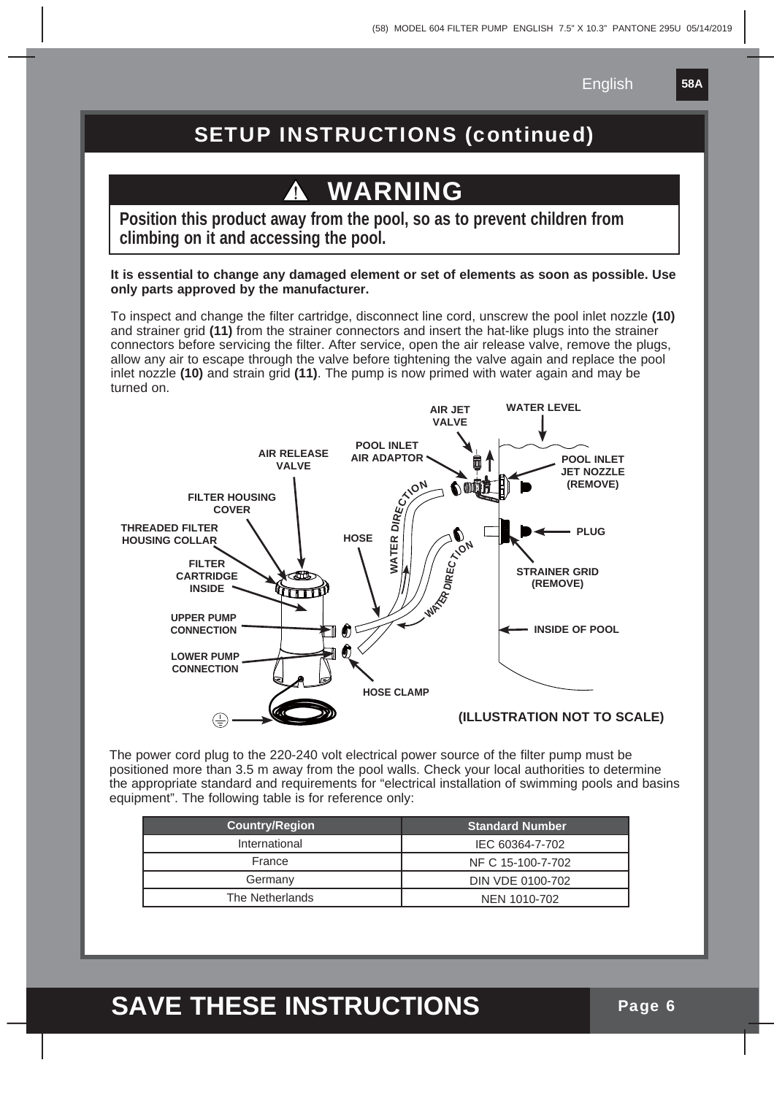**58A**

### SETUP INSTRUCTIONS (continued)

# **WARNING**

**Position this product away from the pool, so as to prevent children from climbing on it and accessing the pool.**

**It is essential to change any damaged element or set of elements as soon as possible. Use only parts approved by the manufacturer.**

To inspect and change the filter cartridge, disconnect line cord, unscrew the pool inlet nozzle **(10)** and strainer grid **(11)** from the strainer connectors and insert the hat-like plugs into the strainer connectors before servicing the filter. After service, open the air release valve, remove the plugs, allow any air to escape through the valve before tightening the valve again and replace the pool inlet nozzle **(10)** and strain grid **(11)**. The pump is now primed with water again and may be turned on.



The power cord plug to the 220-240 volt electrical power source of the filter pump must be positioned more than 3.5 m away from the pool walls. Check your local authorities to determine the appropriate standard and requirements for "electrical installation of swimming pools and basins equipment". The following table is for reference only:

| <b>Country/Region</b> | <b>Standard Number</b> |
|-----------------------|------------------------|
| International         | IEC 60364-7-702        |
| France                | NF C 15-100-7-702      |
| Germany               | DIN VDE 0100-702       |
| The Netherlands       | NEN 1010-702           |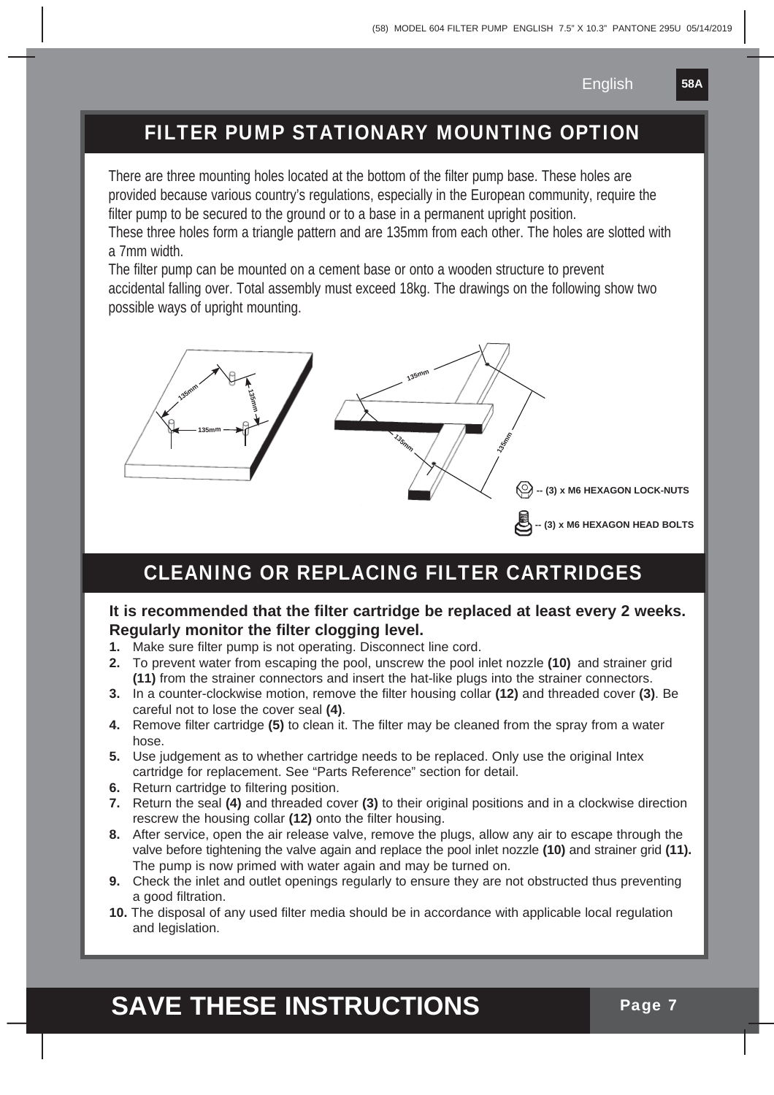**58A**

### FILTER PUMP STATIONARY MOUNTING OPTION

There are three mounting holes located at the bottom of the filter pump base. These holes are provided because various country's regulations, especially in the European community, require the filter pump to be secured to the ground or to a base in a permanent upright position.

These three holes form a triangle pattern and are 135mm from each other. The holes are slotted with a 7mm width.

The filter pump can be mounted on a cement base or onto a wooden structure to prevent accidental falling over. Total assembly must exceed 18kg. The drawings on the following show two possible ways of upright mounting.



#### CLEANING OR REPLACING FILTER CARTRIDGES

#### **It is recommended that the filter cartridge be replaced at least every 2 weeks. Regularly monitor the filter clogging level.**

- **1.** Make sure filter pump is not operating. Disconnect line cord.
- **2.** To prevent water from escaping the pool, unscrew the pool inlet nozzle **(10)** and strainer grid **(11)** from the strainer connectors and insert the hat-like plugs into the strainer connectors.
- **3.** In a counter-clockwise motion, remove the filter housing collar **(12)** and threaded cover **(3)**. Be careful not to lose the cover seal **(4)**.
- **4.** Remove filter cartridge **(5)** to clean it. The filter may be cleaned from the spray from a water hose.
- **5.** Use judgement as to whether cartridge needs to be replaced. Only use the original Intex cartridge for replacement. See "Parts Reference" section for detail.
- **6.** Return cartridge to filtering position.
- **7.** Return the seal **(4)** and threaded cover **(3)** to their original positions and in a clockwise direction rescrew the housing collar **(12)** onto the filter housing.
- **8.** After service, open the air release valve, remove the plugs, allow any air to escape through the valve before tightening the valve again and replace the pool inlet nozzle **(10)** and strainer grid **(11).** The pump is now primed with water again and may be turned on.
- **9.** Check the inlet and outlet openings regularly to ensure they are not obstructed thus preventing a good filtration.
- **10.** The disposal of any used filter media should be in accordance with applicable local regulation and legislation.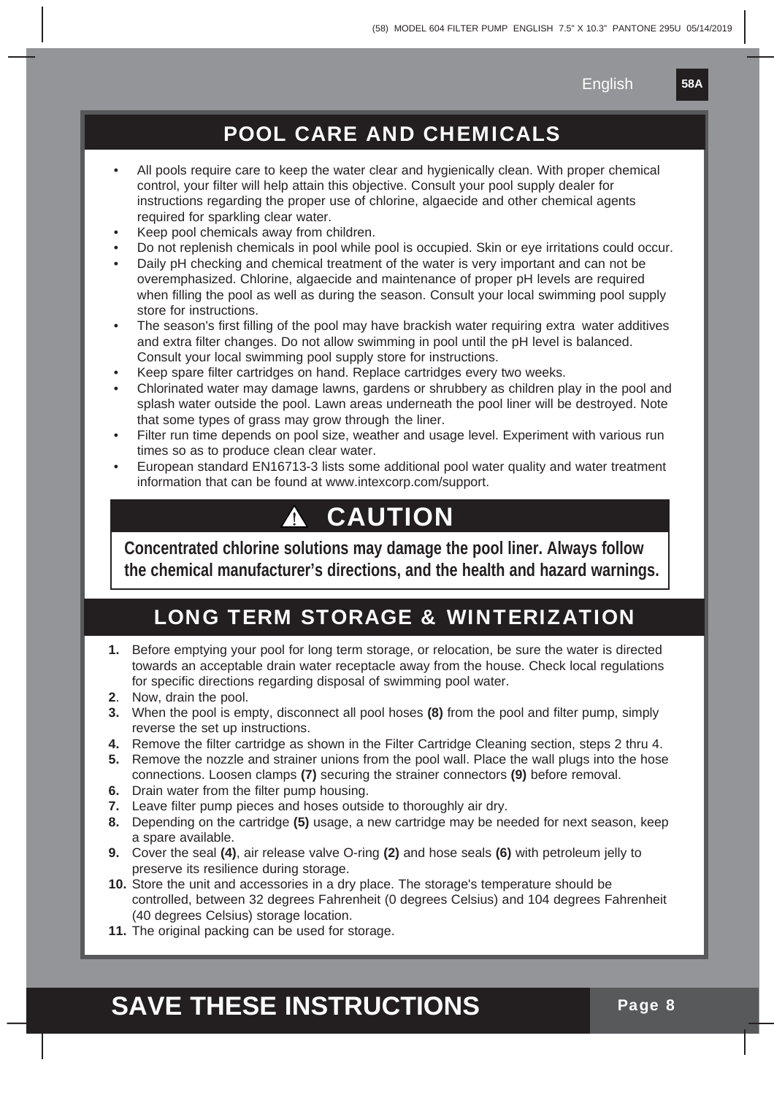**58A**

#### POOL CARE AND CHEMICALS

- All pools require care to keep the water clear and hygienically clean. With proper chemical control, your filter will help attain this objective. Consult your pool supply dealer for instructions regarding the proper use of chlorine, algaecide and other chemical agents required for sparkling clear water.
- Keep pool chemicals away from children.
- Do not replenish chemicals in pool while pool is occupied. Skin or eye irritations could occur.
- Daily pH checking and chemical treatment of the water is very important and can not be overemphasized. Chlorine, algaecide and maintenance of proper pH levels are required when filling the pool as well as during the season. Consult your local swimming pool supply store for instructions.
- The season's first filling of the pool may have brackish water requiring extra water additives and extra filter changes. Do not allow swimming in pool until the pH level is balanced. Consult your local swimming pool supply store for instructions.
- Keep spare filter cartridges on hand. Replace cartridges every two weeks.
- Chlorinated water may damage lawns, gardens or shrubbery as children play in the pool and splash water outside the pool. Lawn areas underneath the pool liner will be destroyed. Note that some types of grass may grow through the liner.
- Filter run time depends on pool size, weather and usage level. Experiment with various run times so as to produce clean clear water.
- European standard EN16713-3 lists some additional pool water quality and water treatment information that can be found at www.intexcorp.com/support.

#### **CAUTION** Æ

**Concentrated chlorine solutions may damage the pool liner. Always follow the chemical manufacturer's directions, and the health and hazard warnings.**

### LONG TERM STORAGE & WINTERIZATION

- **1.** Before emptying your pool for long term storage, or relocation, be sure the water is directed towards an acceptable drain water receptacle away from the house. Check local regulations for specific directions regarding disposal of swimming pool water.
- **2**. Now, drain the pool.
- **3.** When the pool is empty, disconnect all pool hoses **(8)** from the pool and filter pump, simply reverse the set up instructions.
- **4.** Remove the filter cartridge as shown in the Filter Cartridge Cleaning section, steps 2 thru 4.
- **5.** Remove the nozzle and strainer unions from the pool wall. Place the wall plugs into the hose connections. Loosen clamps **(7)** securing the strainer connectors **(9)** before removal.
- **6.** Drain water from the filter pump housing.
- **7.** Leave filter pump pieces and hoses outside to thoroughly air dry.
- **8.** Depending on the cartridge **(5)** usage, a new cartridge may be needed for next season, keep a spare available.
- **9.** Cover the seal **(4)**, air release valve O-ring **(2)** and hose seals **(6)** with petroleum jelly to preserve its resilience during storage.
- **10.** Store the unit and accessories in a dry place. The storage's temperature should be controlled, between 32 degrees Fahrenheit (0 degrees Celsius) and 104 degrees Fahrenheit (40 degrees Celsius) storage location.
- **11.** The original packing can be used for storage.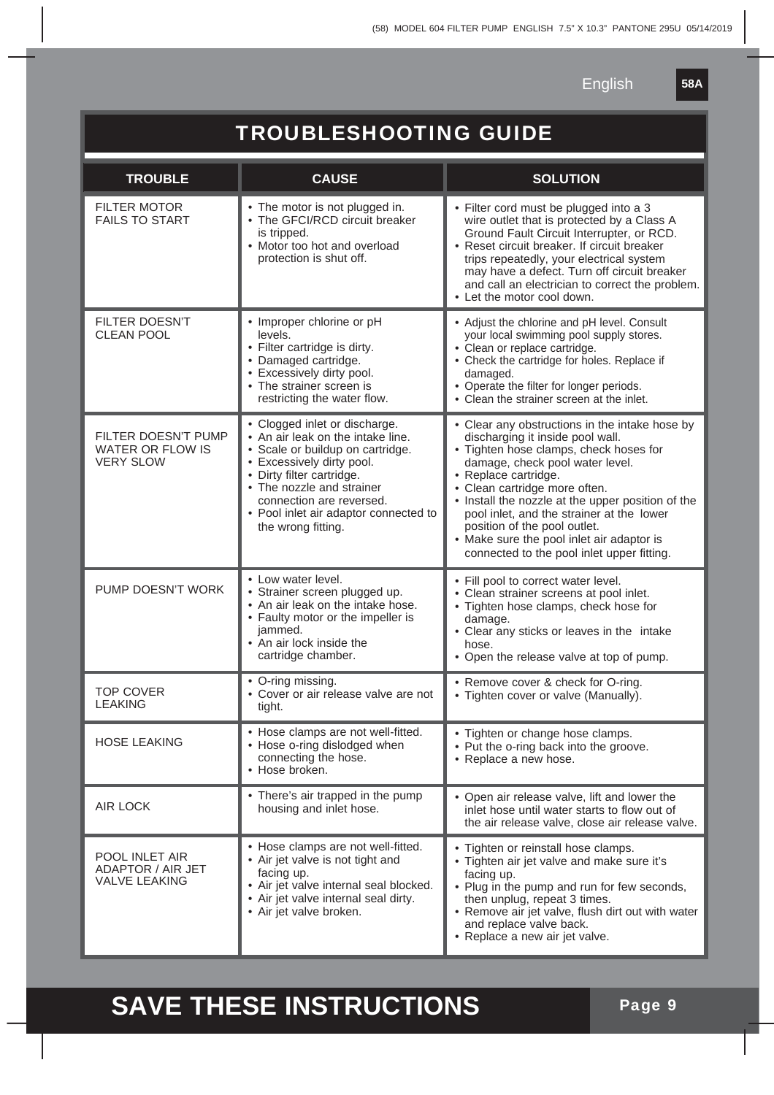**58A**

### TROUBLESHOOTING GUIDE

| <b>TROUBLE</b>                                              | <b>CAUSE</b>                                                                                                                                                                                                                                                                             | <b>SOLUTION</b>                                                                                                                                                                                                                                                                                                                                                                                                                                       |
|-------------------------------------------------------------|------------------------------------------------------------------------------------------------------------------------------------------------------------------------------------------------------------------------------------------------------------------------------------------|-------------------------------------------------------------------------------------------------------------------------------------------------------------------------------------------------------------------------------------------------------------------------------------------------------------------------------------------------------------------------------------------------------------------------------------------------------|
| <b>FILTER MOTOR</b><br><b>FAILS TO START</b>                | • The motor is not plugged in.<br>• The GFCI/RCD circuit breaker<br>is tripped.<br>• Motor too hot and overload<br>protection is shut off.                                                                                                                                               | • Filter cord must be plugged into a 3<br>wire outlet that is protected by a Class A<br>Ground Fault Circuit Interrupter, or RCD.<br>• Reset circuit breaker. If circuit breaker<br>trips repeatedly, your electrical system<br>may have a defect. Turn off circuit breaker<br>and call an electrician to correct the problem.<br>• Let the motor cool down.                                                                                          |
| <b>FILTER DOESN'T</b><br><b>CLEAN POOL</b>                  | • Improper chlorine or pH<br>levels.<br>• Filter cartridge is dirty.<br>• Damaged cartridge.<br>• Excessively dirty pool.<br>• The strainer screen is<br>restricting the water flow.                                                                                                     | • Adjust the chlorine and pH level. Consult<br>your local swimming pool supply stores.<br>• Clean or replace cartridge.<br>• Check the cartridge for holes. Replace if<br>damaged.<br>• Operate the filter for longer periods.<br>• Clean the strainer screen at the inlet.                                                                                                                                                                           |
| FILTER DOESN'T PUMP<br>WATER OR FLOW IS<br><b>VERY SLOW</b> | • Clogged inlet or discharge.<br>• An air leak on the intake line.<br>• Scale or buildup on cartridge.<br>• Excessively dirty pool.<br>• Dirty filter cartridge.<br>• The nozzle and strainer<br>connection are reversed.<br>• Pool inlet air adaptor connected to<br>the wrong fitting. | • Clear any obstructions in the intake hose by<br>discharging it inside pool wall.<br>• Tighten hose clamps, check hoses for<br>damage, check pool water level.<br>• Replace cartridge.<br>• Clean cartridge more often.<br>• Install the nozzle at the upper position of the<br>pool inlet, and the strainer at the lower<br>position of the pool outlet.<br>• Make sure the pool inlet air adaptor is<br>connected to the pool inlet upper fitting. |
| PUMP DOESN'T WORK                                           | • Low water level.<br>• Strainer screen plugged up.<br>• An air leak on the intake hose.<br>• Faulty motor or the impeller is<br>jammed.<br>• An air lock inside the<br>cartridge chamber.                                                                                               | • Fill pool to correct water level.<br>• Clean strainer screens at pool inlet.<br>• Tighten hose clamps, check hose for<br>damage.<br>• Clear any sticks or leaves in the intake<br>hose.<br>• Open the release valve at top of pump.                                                                                                                                                                                                                 |
| <b>TOP COVER</b><br><b>LEAKING</b>                          | • O-ring missing.<br>• Cover or air release valve are not<br>tight.                                                                                                                                                                                                                      | • Remove cover & check for O-ring.<br>• Tighten cover or valve (Manually).                                                                                                                                                                                                                                                                                                                                                                            |
| <b>HOSE LEAKING</b>                                         | • Hose clamps are not well-fitted.<br>• Hose o-ring dislodged when<br>connecting the hose.<br>• Hose broken.                                                                                                                                                                             | • Tighten or change hose clamps.<br>• Put the o-ring back into the groove.<br>• Replace a new hose.                                                                                                                                                                                                                                                                                                                                                   |
| <b>AIR LOCK</b>                                             | • There's air trapped in the pump<br>housing and inlet hose.                                                                                                                                                                                                                             | • Open air release valve, lift and lower the<br>inlet hose until water starts to flow out of<br>the air release valve, close air release valve.                                                                                                                                                                                                                                                                                                       |
| POOL INLET AIR<br>ADAPTOR / AIR JET<br><b>VALVE LEAKING</b> | • Hose clamps are not well-fitted.<br>• Air jet valve is not tight and<br>facing up.<br>• Air jet valve internal seal blocked.<br>• Air jet valve internal seal dirty.<br>• Air jet valve broken.                                                                                        | • Tighten or reinstall hose clamps.<br>· Tighten air jet valve and make sure it's<br>facing up.<br>• Plug in the pump and run for few seconds,<br>then unplug, repeat 3 times.<br>• Remove air jet valve, flush dirt out with water<br>and replace valve back.<br>• Replace a new air jet valve.                                                                                                                                                      |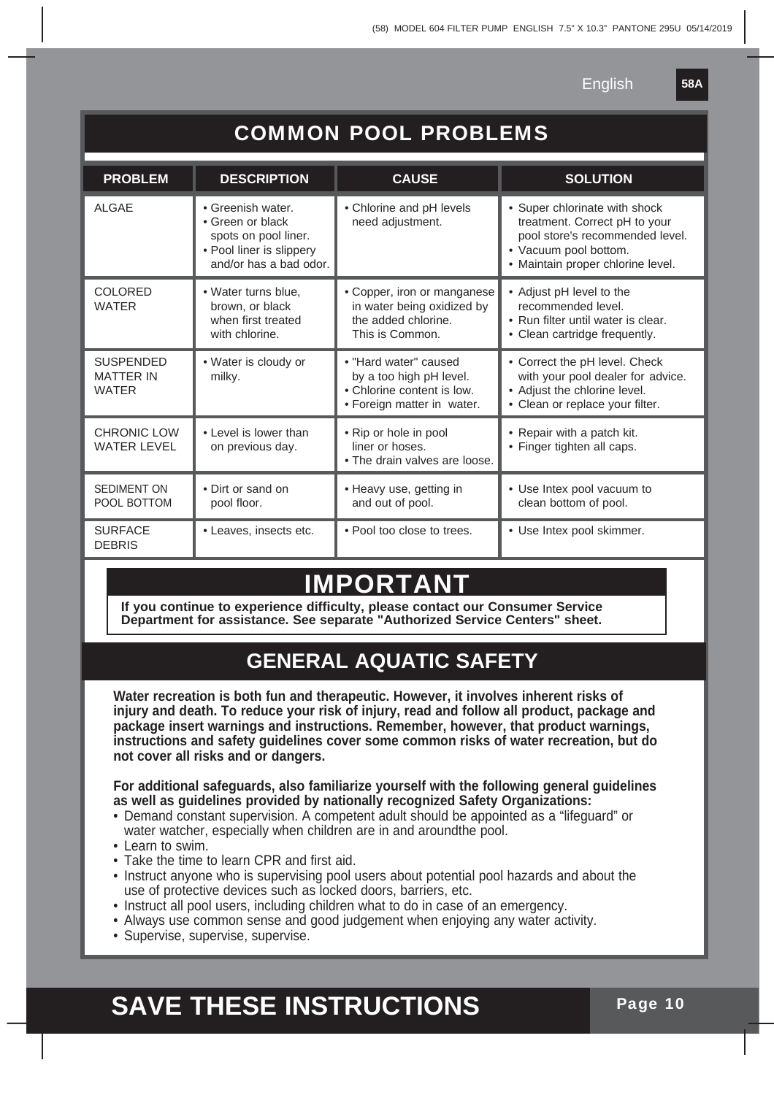**58A**

| <b>COMMON POOL PROBLEMS</b>                          |                                                                                                                     |                                                                                                              |                                                                                                                                                                 |  |  |  |
|------------------------------------------------------|---------------------------------------------------------------------------------------------------------------------|--------------------------------------------------------------------------------------------------------------|-----------------------------------------------------------------------------------------------------------------------------------------------------------------|--|--|--|
| <b>PROBLEM</b>                                       | <b>DESCRIPTION</b>                                                                                                  | <b>CAUSE</b>                                                                                                 | <b>SOLUTION</b>                                                                                                                                                 |  |  |  |
| <b>ALGAE</b>                                         | • Greenish water.<br>• Green or black<br>spots on pool liner.<br>• Pool liner is slippery<br>and/or has a bad odor. | • Chlorine and pH levels<br>need adjustment.                                                                 | • Super chlorinate with shock<br>treatment. Correct pH to your<br>pool store's recommended level.<br>• Vacuum pool bottom.<br>· Maintain proper chlorine level. |  |  |  |
| <b>COLORED</b><br><b>WATER</b>                       | · Water turns blue,<br>brown, or black<br>when first treated<br>with chlorine.                                      | • Copper, iron or manganese<br>in water being oxidized by<br>the added chlorine.<br>This is Common.          | • Adjust pH level to the<br>recommended level.<br>• Run filter until water is clear.<br>• Clean cartridge frequently.                                           |  |  |  |
| <b>SUSPENDED</b><br><b>MATTER IN</b><br><b>WATER</b> | • Water is cloudy or<br>milky.                                                                                      | • "Hard water" caused<br>by a too high pH level.<br>• Chlorine content is low.<br>• Foreign matter in water. | • Correct the pH level. Check<br>with your pool dealer for advice.<br>• Adjust the chlorine level.<br>• Clean or replace your filter.                           |  |  |  |
| <b>CHRONIC LOW</b><br><b>WATER LEVEL</b>             | • Level is lower than<br>on previous day.                                                                           | • Rip or hole in pool<br>liner or hoses.<br>• The drain valves are loose.                                    | • Repair with a patch kit.<br>• Finger tighten all caps.                                                                                                        |  |  |  |
| <b>SEDIMENT ON</b><br>POOL BOTTOM                    | • Dirt or sand on<br>pool floor.                                                                                    | • Heavy use, getting in<br>and out of pool.                                                                  | · Use Intex pool vacuum to<br>clean bottom of pool.                                                                                                             |  |  |  |
| <b>SURFACE</b><br><b>DEBRIS</b>                      | • Leaves, insects etc.                                                                                              | • Pool too close to trees.                                                                                   | · Use Intex pool skimmer.                                                                                                                                       |  |  |  |

### **IMPORTAN**

**If you continue to experience difficulty, please contact our Consumer Service Department for assistance. See separate "Authorized Service Centers" sheet.**

### **GENERAL AQUATIC SAFETY**

**Water recreation is both fun and therapeutic. However, it involves inherent risks of injury and death. To reduce your risk of injury, read and follow all product, package and package insert warnings and instructions. Remember, however, that product warnings, instructions and safety guidelines cover some common risks of water recreation, but do not cover all risks and or dangers.**

**For additional safeguards, also familiarize yourself with the following general guidelines as well as guidelines provided by nationally recognized Safety Organizations:**

- Demand constant supervision. A competent adult should be appointed as a "lifeguard" or water watcher, especially when children are in and aroundthe pool.
- Learn to swim.
- Take the time to learn CPR and first aid.
- Instruct anyone who is supervising pool users about potential pool hazards and about the use of protective devices such as locked doors, barriers, etc.
- Instruct all pool users, including children what to do in case of an emergency.
- Always use common sense and good judgement when enjoying any water activity.
- Supervise, supervise, supervise.